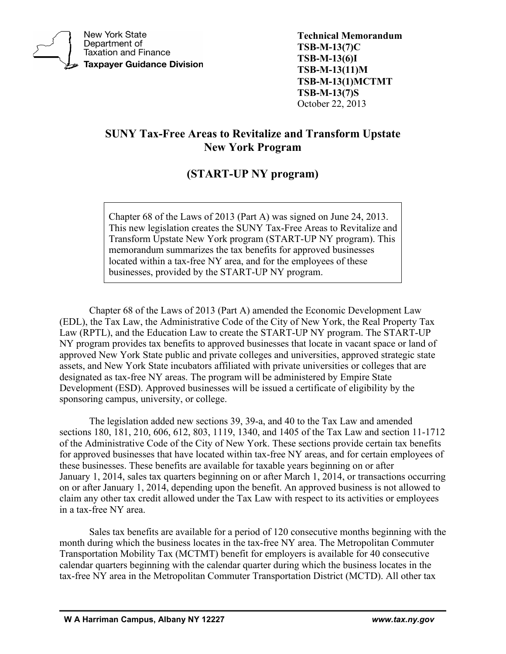

**New York State** Department of **Taxation and Finance Taxpayer Guidance Division**  **Technical Memorandum TSB-M-13(7)C TSB-M-13(6)I TSB-M-13(11)M TSB-M-13(1)MCTMT TSB-M-13(7)S** October 22, 2013

# **SUNY Tax-Free Areas to Revitalize and Transform Upstate New York Program**

# **(START-UP NY program)**

Chapter 68 of the Laws of 2013 (Part A) was signed on June 24, 2013. This new legislation creates the SUNY Tax-Free Areas to Revitalize and Transform Upstate New York program (START-UP NY program). This memorandum summarizes the tax benefits for approved businesses located within a tax-free NY area, and for the employees of these businesses, provided by the START-UP NY program.

Chapter 68 of the Laws of 2013 (Part A) amended the Economic Development Law (EDL), the Tax Law, the Administrative Code of the City of New York, the Real Property Tax Law (RPTL), and the Education Law to create the START-UP NY program. The START-UP NY program provides tax benefits to approved businesses that locate in vacant space or land of approved New York State public and private colleges and universities, approved strategic state assets, and New York State incubators affiliated with private universities or colleges that are designated as tax-free NY areas. The program will be administered by Empire State Development (ESD). Approved businesses will be issued a certificate of eligibility by the sponsoring campus, university, or college.

The legislation added new sections 39, 39-a, and 40 to the Tax Law and amended sections 180, 181, 210, 606, 612, 803, 1119, 1340, and 1405 of the Tax Law and section 11-1712 of the Administrative Code of the City of New York. These sections provide certain tax benefits for approved businesses that have located within tax-free NY areas, and for certain employees of these businesses. These benefits are available for taxable years beginning on or after January 1, 2014, sales tax quarters beginning on or after March 1, 2014, or transactions occurring on or after January 1, 2014, depending upon the benefit. An approved business is not allowed to claim any other tax credit allowed under the Tax Law with respect to its activities or employees in a tax-free NY area.

Sales tax benefits are available for a period of 120 consecutive months beginning with the month during which the business locates in the tax-free NY area. The Metropolitan Commuter Transportation Mobility Tax (MCTMT) benefit for employers is available for 40 consecutive calendar quarters beginning with the calendar quarter during which the business locates in the tax-free NY area in the Metropolitan Commuter Transportation District (MCTD). All other tax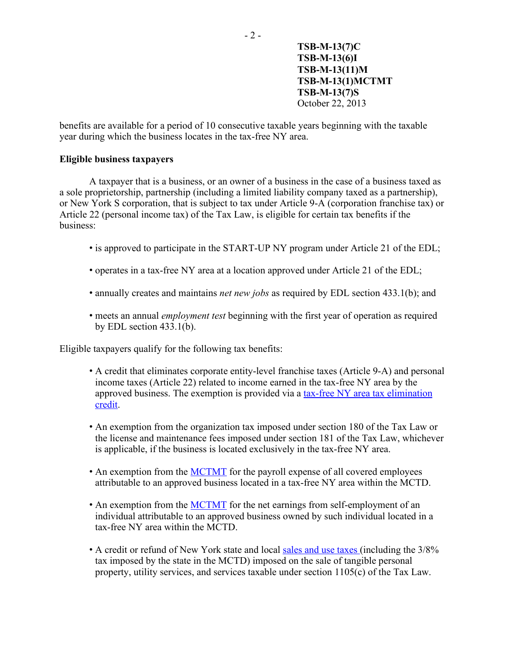benefits are available for a period of 10 consecutive taxable years beginning with the taxable year during which the business locates in the tax-free NY area.

### **Eligible business taxpayers**

A taxpayer that is a business, or an owner of a business in the case of a business taxed as a sole proprietorship, partnership (including a limited liability company taxed as a partnership), or New York S corporation, that is subject to tax under Article 9-A (corporation franchise tax) or Article 22 (personal income tax) of the Tax Law, is eligible for certain tax benefits if the business:

- is approved to participate in the START-UP NY program under Article 21 of the EDL;
- operates in a tax-free NY area at a location approved under Article 21 of the EDL;
- annually creates and maintains *net new jobs* as required by EDL section 433.1(b); and
- meets an annual *employment test* beginning with the first year of operation as required by EDL section 433.1(b).

Eligible taxpayers qualify for the following tax benefits:

- A credit that eliminates corporate entity-level franchise taxes (Article 9-A) and personal income taxes (Article 22) related to income earned in the tax-free NY area by the approved business. The exemption is provided via a [tax-free NY area tax elimination](#page-3-0)  [credit.](#page-3-0)
- An exemption from the organization tax imposed under section 180 of the Tax Law or the license and maintenance fees imposed under section 181 of the Tax Law, whichever is applicable, if the business is located exclusively in the tax-free NY area.
- An exemption from the **MCTMT** for the payroll expense of all covered employees attributable to an approved business located in a tax-free NY area within the MCTD.
- An exemption from the [MCTMT](#page-7-0) for the net earnings from self-employment of an individual attributable to an approved business owned by such individual located in a tax-free NY area within the MCTD.
- A credit or refund of New York state and local [sales and use taxes](#page-8-0) (including the 3/8% tax imposed by the state in the MCTD) imposed on the sale of tangible personal property, utility services, and services taxable under section 1105(c) of the Tax Law.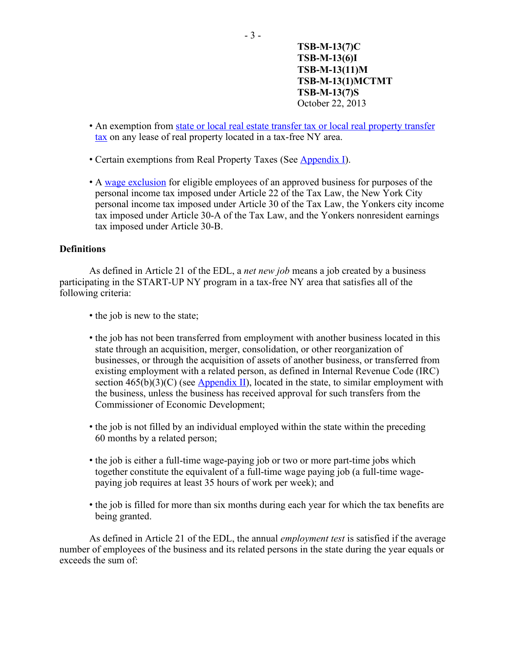- An exemption from [state or local real estate transfer tax or local real property transfer](#page-10-0)  [tax](#page-10-0) on any lease of real property located in a tax-free NY area.
- Certain exemptions from Real Property Taxes (See [Appendix I\)](#page-14-0).
- A [wage exclusion](#page-6-0) for eligible employees of an approved business for purposes of the personal income tax imposed under Article 22 of the Tax Law, the New York City personal income tax imposed under Article 30 of the Tax Law, the Yonkers city income tax imposed under Article 30-A of the Tax Law, and the Yonkers nonresident earnings tax imposed under Article 30-B.

#### **Definitions**

As defined in Article 21 of the EDL, a *net new job* means a job created by a business participating in the START-UP NY program in a tax-free NY area that satisfies all of the following criteria:

- the job is new to the state;
- the job has not been transferred from employment with another business located in this state through an acquisition, merger, consolidation, or other reorganization of businesses, or through the acquisition of assets of another business, or transferred from existing employment with a related person, as defined in Internal Revenue Code (IRC) section  $465(b)(3)(C)$  (see [Appendix II\)](#page-16-0), located in the state, to similar employment with the business, unless the business has received approval for such transfers from the Commissioner of Economic Development;
- the job is not filled by an individual employed within the state within the preceding 60 months by a related person;
- the job is either a full-time wage-paying job or two or more part-time jobs which together constitute the equivalent of a full-time wage paying job (a full-time wagepaying job requires at least 35 hours of work per week); and
- the job is filled for more than six months during each year for which the tax benefits are being granted.

As defined in Article 21 of the EDL, the annual *employment test* is satisfied if the average number of employees of the business and its related persons in the state during the year equals or exceeds the sum of: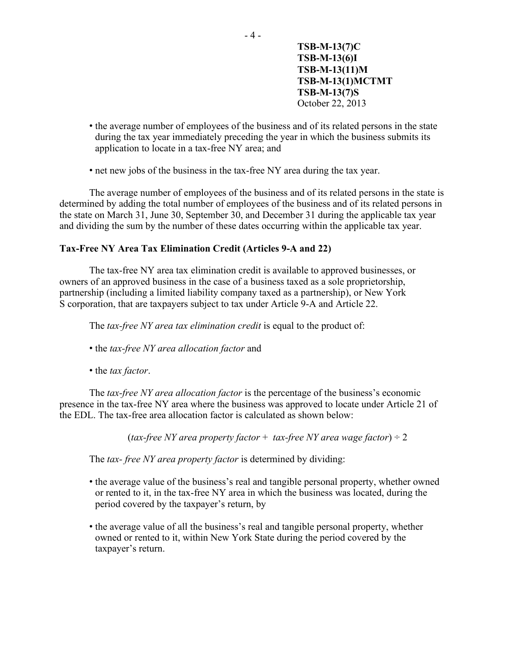- the average number of employees of the business and of its related persons in the state during the tax year immediately preceding the year in which the business submits its application to locate in a tax-free NY area; and
- net new jobs of the business in the tax-free NY area during the tax year.

The average number of employees of the business and of its related persons in the state is determined by adding the total number of employees of the business and of its related persons in the state on March 31, June 30, September 30, and December 31 during the applicable tax year and dividing the sum by the number of these dates occurring within the applicable tax year.

#### <span id="page-3-0"></span>**Tax-Free NY Area Tax Elimination Credit (Articles 9-A and 22)**

The tax-free NY area tax elimination credit is available to approved businesses, or owners of an approved business in the case of a business taxed as a sole proprietorship, partnership (including a limited liability company taxed as a partnership), or New York S corporation, that are taxpayers subject to tax under Article 9-A and Article 22.

The *tax-free NY area tax elimination credit* is equal to the product of:

- the *tax-free NY area allocation factor* and
- the *tax factor*.

The *tax-free NY area allocation factor* is the percentage of the business's economic presence in the tax-free NY area where the business was approved to locate under Article 21 of the EDL. The tax-free area allocation factor is calculated as shown below:

(*tax-free NY area property factor* + *tax-free NY area wage factor*) ÷ 2

The *tax- free NY area property factor* is determined by dividing:

- the average value of the business's real and tangible personal property, whether owned or rented to it, in the tax-free NY area in which the business was located, during the period covered by the taxpayer's return, by
- the average value of all the business's real and tangible personal property, whether owned or rented to it, within New York State during the period covered by the taxpayer's return.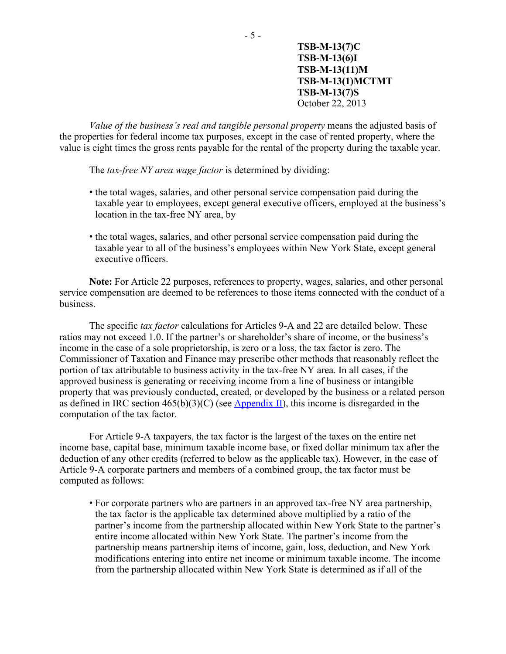*Value of the business's real and tangible personal property* means the adjusted basis of the properties for federal income tax purposes, except in the case of rented property, where the value is eight times the gross rents payable for the rental of the property during the taxable year.

The *tax-free NY area wage factor* is determined by dividing:

- the total wages, salaries, and other personal service compensation paid during the taxable year to employees, except general executive officers, employed at the business's location in the tax-free NY area, by
- the total wages, salaries, and other personal service compensation paid during the taxable year to all of the business's employees within New York State, except general executive officers.

**Note:** For Article 22 purposes, references to property, wages, salaries, and other personal service compensation are deemed to be references to those items connected with the conduct of a business.

The specific *tax factor* calculations for Articles 9-A and 22 are detailed below. These ratios may not exceed 1.0. If the partner's or shareholder's share of income, or the business's income in the case of a sole proprietorship, is zero or a loss, the tax factor is zero. The Commissioner of Taxation and Finance may prescribe other methods that reasonably reflect the portion of tax attributable to business activity in the tax-free NY area. In all cases, if the approved business is generating or receiving income from a line of business or intangible property that was previously conducted, created, or developed by the business or a related person as defined in IRC section  $465(b)(3)(C)$  (see [Appendix II\)](#page-16-0), this income is disregarded in the computation of the tax factor.

For Article 9-A taxpayers, the tax factor is the largest of the taxes on the entire net income base, capital base, minimum taxable income base, or fixed dollar minimum tax after the deduction of any other credits (referred to below as the applicable tax). However, in the case of Article 9-A corporate partners and members of a combined group, the tax factor must be computed as follows:

• For corporate partners who are partners in an approved tax-free NY area partnership, the tax factor is the applicable tax determined above multiplied by a ratio of the partner's income from the partnership allocated within New York State to the partner's entire income allocated within New York State. The partner's income from the partnership means partnership items of income, gain, loss, deduction, and New York modifications entering into entire net income or minimum taxable income. The income from the partnership allocated within New York State is determined as if all of the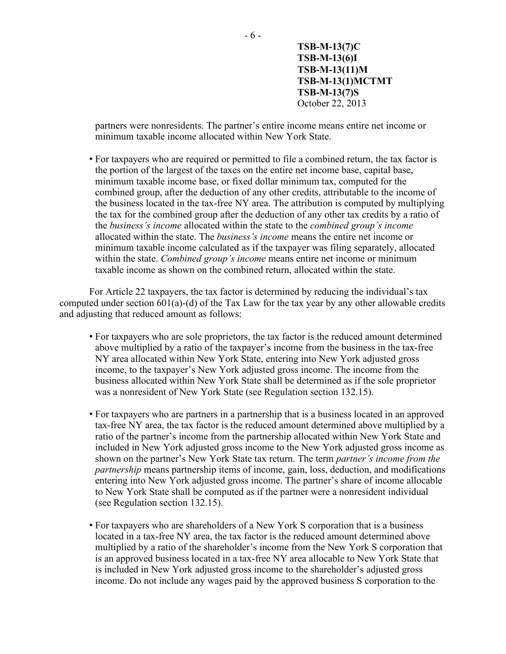partners were nonresidents. The partner's entire income means entire net income or minimum taxable income allocated within New York State.

• For taxpayers who are required or permitted to file a combined return, the tax factor is the portion of the largest of the taxes on the entire net income base, capital base, minimum taxable income base, or fixed dollar minimum tax, computed for the combined group, after the deduction of any other credits, attributable to the income of the business located in the tax-free NY area. The attribution is computed by multiplying the tax for the combined group after the deduction of any other tax credits by a ratio of the *business's income* allocated within the state to the *combined group's income* allocated within the state. The *business's income* means the entire net income or minimum taxable income calculated as if the taxpayer was filing separately, allocated within the state. *Combined group's income* means entire net income or minimum taxable income as shown on the combined return, allocated within the state.

For Article 22 taxpayers, the tax factor is determined by reducing the individual's tax computed under section  $601(a)$ -(d) of the Tax Law for the tax year by any other allowable credits and adjusting that reduced amount as follows:

- For taxpayers who are sole proprietors, the tax factor is the reduced amount determined above multiplied by a ratio of the taxpayer's income from the business in the tax-free NY area allocated within New York State, entering into New York adjusted gross income, to the taxpayer's New York adjusted gross income. The income from the business allocated within New York State shall be determined as if the sole proprietor was a nonresident of New York State (see Regulation section 132.15).
- For taxpayers who are partners in a partnership that is a business located in an approved tax-free NY area, the tax factor is the reduced amount determined above multiplied by a ratio of the partner's income from the partnership allocated within New York State and included in New York adjusted gross income to the New York adjusted gross income as shown on the partner's New York State tax return. The term *partner's income from the partnership* means partnership items of income, gain, loss, deduction, and modifications entering into New York adjusted gross income. The partner's share of income allocable to New York State shall be computed as if the partner were a nonresident individual (see Regulation section 132.15).
- For taxpayers who are shareholders of a New York S corporation that is a business located in a tax-free NY area, the tax factor is the reduced amount determined above multiplied by a ratio of the shareholder's income from the New York S corporation that is an approved business located in a tax-free NY area allocable to New York State that is included in New York adjusted gross income to the shareholder's adjusted gross income. Do not include any wages paid by the approved business S corporation to the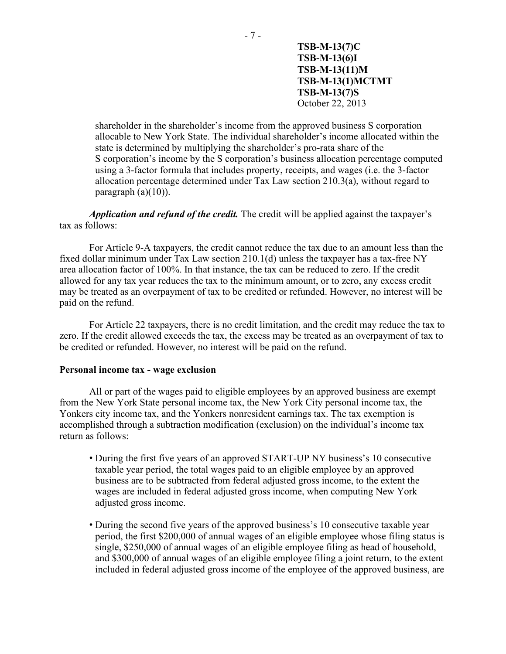shareholder in the shareholder's income from the approved business S corporation allocable to New York State. The individual shareholder's income allocated within the state is determined by multiplying the shareholder's pro-rata share of the S corporation's income by the S corporation's business allocation percentage computed using a 3-factor formula that includes property, receipts, and wages (i.e. the 3-factor allocation percentage determined under Tax Law section 210.3(a), without regard to paragraph  $(a)(10)$ ).

*Application and refund of the credit.* The credit will be applied against the taxpayer's tax as follows:

For Article 9-A taxpayers, the credit cannot reduce the tax due to an amount less than the fixed dollar minimum under Tax Law section 210.1(d) unless the taxpayer has a tax-free NY area allocation factor of 100%. In that instance, the tax can be reduced to zero. If the credit allowed for any tax year reduces the tax to the minimum amount, or to zero, any excess credit may be treated as an overpayment of tax to be credited or refunded. However, no interest will be paid on the refund.

For Article 22 taxpayers, there is no credit limitation, and the credit may reduce the tax to zero. If the credit allowed exceeds the tax, the excess may be treated as an overpayment of tax to be credited or refunded. However, no interest will be paid on the refund.

#### <span id="page-6-0"></span>**Personal income tax - wage exclusion**

All or part of the wages paid to eligible employees by an approved business are exempt from the New York State personal income tax, the New York City personal income tax, the Yonkers city income tax, and the Yonkers nonresident earnings tax. The tax exemption is accomplished through a subtraction modification (exclusion) on the individual's income tax return as follows:

- During the first five years of an approved START-UP NY business's 10 consecutive taxable year period, the total wages paid to an eligible employee by an approved business are to be subtracted from federal adjusted gross income, to the extent the wages are included in federal adjusted gross income, when computing New York adjusted gross income.
- During the second five years of the approved business's 10 consecutive taxable year period, the first \$200,000 of annual wages of an eligible employee whose filing status is single, \$250,000 of annual wages of an eligible employee filing as head of household, and \$300,000 of annual wages of an eligible employee filing a joint return, to the extent included in federal adjusted gross income of the employee of the approved business, are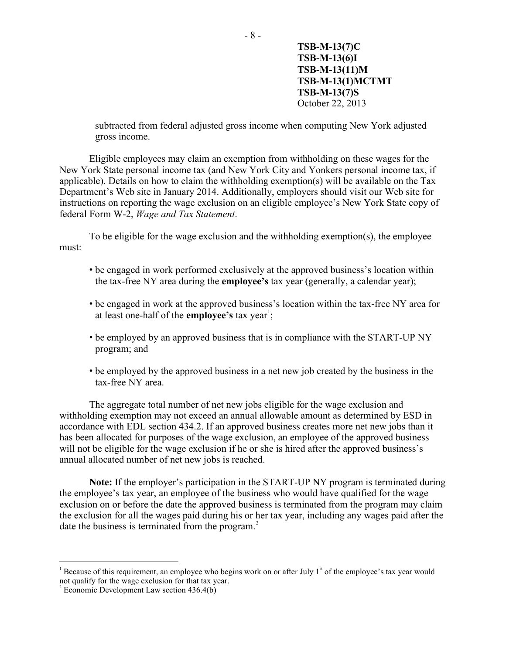subtracted from federal adjusted gross income when computing New York adjusted gross income.

Eligible employees may claim an exemption from withholding on these wages for the New York State personal income tax (and New York City and Yonkers personal income tax, if applicable). Details on how to claim the withholding exemption(s) will be available on the Tax Department's Web site in January 2014. Additionally, employers should visit our Web site for instructions on reporting the wage exclusion on an eligible employee's New York State copy of federal Form W-2, *Wage and Tax Statement*.

To be eligible for the wage exclusion and the withholding exemption(s), the employee must:

- be engaged in work performed exclusively at the approved business's location within the tax-free NY area during the **employee's** tax year (generally, a calendar year);
- be engaged in work at the approved business's location within the tax-free NY area for at least one-half of the **employee's** tax year<sup>[1](#page-7-1)</sup>;
- be employed by an approved business that is in compliance with the START-UP NY program; and
- be employed by the approved business in a net new job created by the business in the tax-free NY area.

The aggregate total number of net new jobs eligible for the wage exclusion and withholding exemption may not exceed an annual allowable amount as determined by ESD in accordance with EDL section 434.2. If an approved business creates more net new jobs than it has been allocated for purposes of the wage exclusion, an employee of the approved business will not be eligible for the wage exclusion if he or she is hired after the approved business's annual allocated number of net new jobs is reached.

**Note:** If the employer's participation in the START-UP NY program is terminated during the employee's tax year, an employee of the business who would have qualified for the wage exclusion on or before the date the approved business is terminated from the program may claim the exclusion for all the wages paid during his or her tax year, including any wages paid after the date the business is terminated from the program. $2$ 

<span id="page-7-0"></span> $\overline{a}$ 

<span id="page-7-1"></span><sup>&</sup>lt;sup>1</sup> Because of this requirement, an employee who begins work on or after July  $1<sup>*</sup>$  of the employee's tax year would not qualify for the wage exclusion for that tax year. <sup>2</sup>

<span id="page-7-2"></span> $\degree$  Economic Development Law section 436.4(b)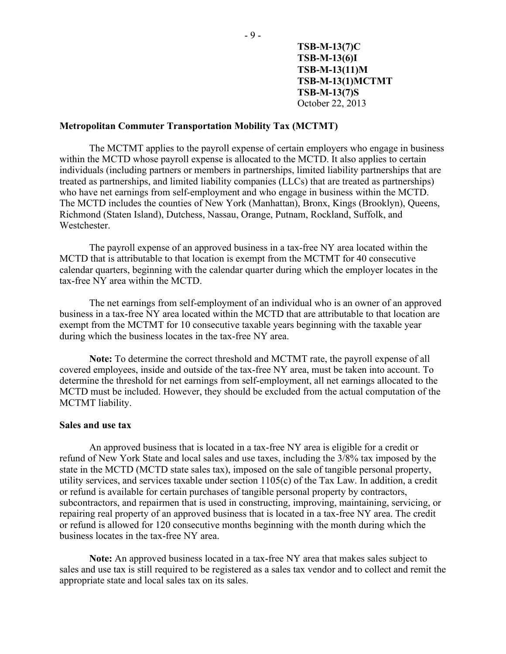#### **Metropolitan Commuter Transportation Mobility Tax (MCTMT)**

The MCTMT applies to the payroll expense of certain employers who engage in business within the MCTD whose payroll expense is allocated to the MCTD. It also applies to certain individuals (including partners or members in partnerships, limited liability partnerships that are treated as partnerships, and limited liability companies (LLCs) that are treated as partnerships) who have net earnings from self-employment and who engage in business within the MCTD. The MCTD includes the counties of New York (Manhattan), Bronx, Kings (Brooklyn), Queens, Richmond (Staten Island), Dutchess, Nassau, Orange, Putnam, Rockland, Suffolk, and Westchester.

The payroll expense of an approved business in a tax-free NY area located within the MCTD that is attributable to that location is exempt from the MCTMT for 40 consecutive calendar quarters, beginning with the calendar quarter during which the employer locates in the tax-free NY area within the MCTD.

The net earnings from self-employment of an individual who is an owner of an approved business in a tax-free NY area located within the MCTD that are attributable to that location are exempt from the MCTMT for 10 consecutive taxable years beginning with the taxable year during which the business locates in the tax-free NY area.

**Note:** To determine the correct threshold and MCTMT rate, the payroll expense of all covered employees, inside and outside of the tax-free NY area, must be taken into account. To determine the threshold for net earnings from self-employment, all net earnings allocated to the MCTD must be included. However, they should be excluded from the actual computation of the MCTMT liability.

#### <span id="page-8-0"></span>**Sales and use tax**

An approved business that is located in a tax-free NY area is eligible for a credit or refund of New York State and local sales and use taxes, including the 3/8% tax imposed by the state in the MCTD (MCTD state sales tax), imposed on the sale of tangible personal property, utility services, and services taxable under section 1105(c) of the Tax Law. In addition, a credit or refund is available for certain purchases of tangible personal property by contractors, subcontractors, and repairmen that is used in constructing, improving, maintaining, servicing, or repairing real property of an approved business that is located in a tax-free NY area. The credit or refund is allowed for 120 consecutive months beginning with the month during which the business locates in the tax-free NY area.

**Note:** An approved business located in a tax-free NY area that makes sales subject to sales and use tax is still required to be registered as a sales tax vendor and to collect and remit the appropriate state and local sales tax on its sales.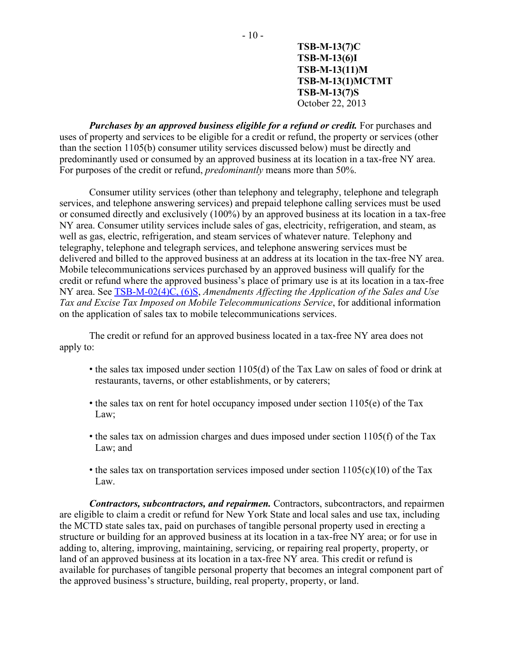*Purchases by an approved business eligible for a refund or credit.* **For purchases and** uses of property and services to be eligible for a credit or refund, the property or services (other than the section 1105(b) consumer utility services discussed below) must be directly and predominantly used or consumed by an approved business at its location in a tax-free NY area. For purposes of the credit or refund, *predominantly* means more than 50%.

Consumer utility services (other than telephony and telegraphy, telephone and telegraph services, and telephone answering services) and prepaid telephone calling services must be used or consumed directly and exclusively (100%) by an approved business at its location in a tax-free NY area. Consumer utility services include sales of gas, electricity, refrigeration, and steam, as well as gas, electric, refrigeration, and steam services of whatever nature. Telephony and telegraphy, telephone and telegraph services, and telephone answering services must be delivered and billed to the approved business at an address at its location in the tax-free NY area. Mobile telecommunications services purchased by an approved business will qualify for the credit or refund where the approved business's place of primary use is at its location in a tax-free NY area. See [TSB-M-02\(4\)C, \(6\)S,](https://www.tax.ny.gov/pdf/memos/multitax/m02_4c_6s.pdf) *Amendments Affecting the Application of the Sales and Use Tax and Excise Tax Imposed on Mobile Telecommunications Service*, for additional information on the application of sales tax to mobile telecommunications services.

The credit or refund for an approved business located in a tax-free NY area does not apply to:

- the sales tax imposed under section 1105(d) of the Tax Law on sales of food or drink at restaurants, taverns, or other establishments, or by caterers;
- the sales tax on rent for hotel occupancy imposed under section 1105(e) of the Tax Law;
- the sales tax on admission charges and dues imposed under section 1105(f) of the Tax Law; and
- the sales tax on transportation services imposed under section  $1105(c)(10)$  of the Tax Law.

*Contractors, subcontractors, and repairmen.* Contractors, subcontractors, and repairmen are eligible to claim a credit or refund for New York State and local sales and use tax, including the MCTD state sales tax, paid on purchases of tangible personal property used in erecting a structure or building for an approved business at its location in a tax-free NY area; or for use in adding to, altering, improving, maintaining, servicing, or repairing real property, property, or land of an approved business at its location in a tax-free NY area. This credit or refund is available for purchases of tangible personal property that becomes an integral component part of the approved business's structure, building, real property, property, or land.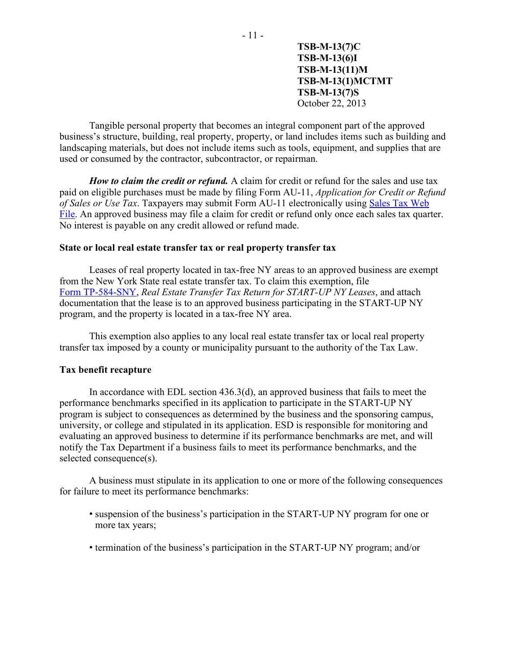Tangible personal property that becomes an integral component part of the approved business's structure, building, real property, property, or land includes items such as building and landscaping materials, but does not include items such as tools, equipment, and supplies that are used or consumed by the contractor, subcontractor, or repairman.

*How to claim the credit or refund.* A claim for credit or refund for the sales and use tax paid on eligible purchases must be made by filing Form AU-11, *Application for Credit or Refund of Sales or Use Tax*. Taxpayers may submit Form AU-11 electronically using [Sales Tax Web](http://www.tax.ny.gov/bus/ads/au11.htm)  [File.](http://www.tax.ny.gov/bus/ads/au11.htm) An approved business may file a claim for credit or refund only once each sales tax quarter. No interest is payable on any credit allowed or refund made.

#### <span id="page-10-0"></span>**State or local real estate transfer tax or real property transfer tax**

Leases of real property located in tax-free NY areas to an approved business are exempt from the New York State real estate transfer tax. To claim this exemption, file Form [TP-584-SNY,](https://www.tax.ny.gov/pdf/current_forms/property/tp584sny.pdf) *Real Estate Transfer Tax Return for START-UP NY Leases*, and attach documentation that the lease is to an approved business participating in the START-UP NY program, and the property is located in a tax-free NY area.

This exemption also applies to any local real estate transfer tax or local real property transfer tax imposed by a county or municipality pursuant to the authority of the Tax Law.

### **Tax benefit recapture**

In accordance with EDL section 436.3(d), an approved business that fails to meet the performance benchmarks specified in its application to participate in the START-UP NY program is subject to consequences as determined by the business and the sponsoring campus, university, or college and stipulated in its application. ESD is responsible for monitoring and evaluating an approved business to determine if its performance benchmarks are met, and will notify the Tax Department if a business fails to meet its performance benchmarks, and the selected consequence(s).

A business must stipulate in its application to one or more of the following consequences for failure to meet its performance benchmarks:

- suspension of the business's participation in the START-UP NY program for one or more tax years;
- termination of the business's participation in the START-UP NY program; and/or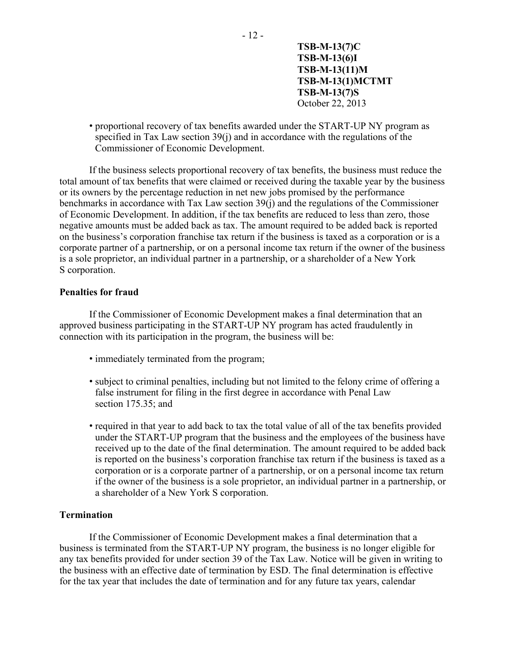• proportional recovery of tax benefits awarded under the START-UP NY program as specified in Tax Law section 39(j) and in accordance with the regulations of the Commissioner of Economic Development.

If the business selects proportional recovery of tax benefits, the business must reduce the total amount of tax benefits that were claimed or received during the taxable year by the business or its owners by the percentage reduction in net new jobs promised by the performance benchmarks in accordance with Tax Law section 39(j) and the regulations of the Commissioner of Economic Development. In addition, if the tax benefits are reduced to less than zero, those negative amounts must be added back as tax. The amount required to be added back is reported on the business's corporation franchise tax return if the business is taxed as a corporation or is a corporate partner of a partnership, or on a personal income tax return if the owner of the business is a sole proprietor, an individual partner in a partnership, or a shareholder of a New York S corporation.

### **Penalties for fraud**

If the Commissioner of Economic Development makes a final determination that an approved business participating in the START-UP NY program has acted fraudulently in connection with its participation in the program, the business will be:

- immediately terminated from the program;
- subject to criminal penalties, including but not limited to the felony crime of offering a false instrument for filing in the first degree in accordance with Penal Law section 175.35; and
- required in that year to add back to tax the total value of all of the tax benefits provided under the START-UP program that the business and the employees of the business have received up to the date of the final determination. The amount required to be added back is reported on the business's corporation franchise tax return if the business is taxed as a corporation or is a corporate partner of a partnership, or on a personal income tax return if the owner of the business is a sole proprietor, an individual partner in a partnership, or a shareholder of a New York S corporation.

#### **Termination**

If the Commissioner of Economic Development makes a final determination that a business is terminated from the START-UP NY program, the business is no longer eligible for any tax benefits provided for under section 39 of the Tax Law. Notice will be given in writing to the business with an effective date of termination by ESD. The final determination is effective for the tax year that includes the date of termination and for any future tax years, calendar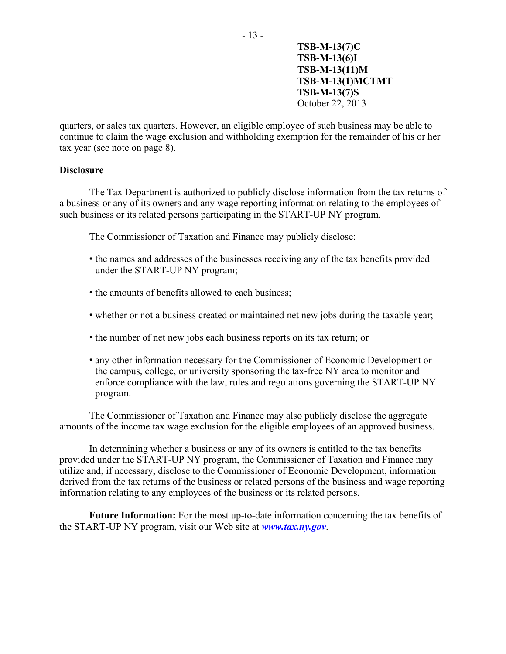quarters, or sales tax quarters. However, an eligible employee of such business may be able to continue to claim the wage exclusion and withholding exemption for the remainder of his or her tax year (see note on page 8).

- 13 -

### **Disclosure**

The Tax Department is authorized to publicly disclose information from the tax returns of a business or any of its owners and any wage reporting information relating to the employees of such business or its related persons participating in the START-UP NY program.

The Commissioner of Taxation and Finance may publicly disclose:

- the names and addresses of the businesses receiving any of the tax benefits provided under the START-UP NY program;
- the amounts of benefits allowed to each business;
- whether or not a business created or maintained net new jobs during the taxable year;
- the number of net new jobs each business reports on its tax return; or
- any other information necessary for the Commissioner of Economic Development or the campus, college, or university sponsoring the tax-free NY area to monitor and enforce compliance with the law, rules and regulations governing the START-UP NY program.

The Commissioner of Taxation and Finance may also publicly disclose the aggregate amounts of the income tax wage exclusion for the eligible employees of an approved business.

In determining whether a business or any of its owners is entitled to the tax benefits provided under the START-UP NY program, the Commissioner of Taxation and Finance may utilize and, if necessary, disclose to the Commissioner of Economic Development, information derived from the tax returns of the business or related persons of the business and wage reporting information relating to any employees of the business or its related persons.

**Future Information:** For the most up-to-date information concerning the tax benefits of the START-UP NY program, visit our Web site at *[www.tax.ny.gov](https://www.tax.ny.gov/)*.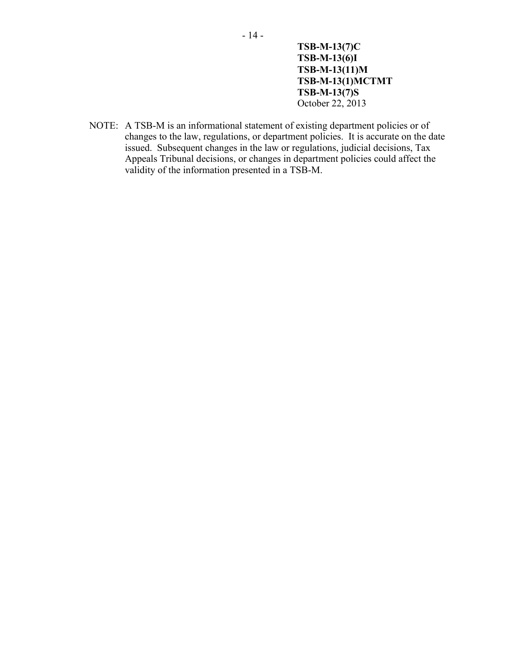NOTE: A TSB-M is an informational statement of existing department policies or of changes to the law, regulations, or department policies. It is accurate on the date issued. Subsequent changes in the law or regulations, judicial decisions, Tax Appeals Tribunal decisions, or changes in department policies could affect the validity of the information presented in a TSB-M.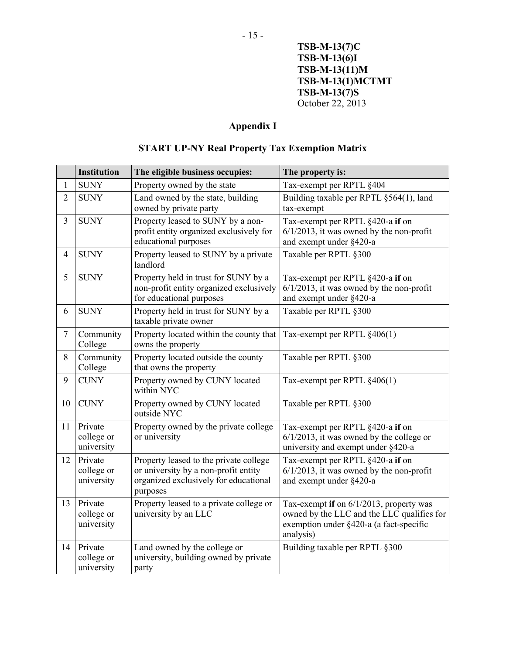## **Appendix I**

# **START UP-NY Real Property Tax Exemption Matrix**

<span id="page-14-0"></span>

|                | <b>Institution</b>                  | The eligible business occupies:                                                                                                     | The property is:                                                                                                                              |
|----------------|-------------------------------------|-------------------------------------------------------------------------------------------------------------------------------------|-----------------------------------------------------------------------------------------------------------------------------------------------|
| $\mathbf{1}$   | <b>SUNY</b>                         | Property owned by the state                                                                                                         | Tax-exempt per RPTL §404                                                                                                                      |
| $\overline{2}$ | <b>SUNY</b>                         | Land owned by the state, building<br>owned by private party                                                                         | Building taxable per RPTL §564(1), land<br>tax-exempt                                                                                         |
| 3              | <b>SUNY</b>                         | Property leased to SUNY by a non-<br>profit entity organized exclusively for<br>educational purposes                                | Tax-exempt per RPTL §420-a if on<br>$6/1/2013$ , it was owned by the non-profit<br>and exempt under §420-a                                    |
| $\overline{4}$ | <b>SUNY</b>                         | Property leased to SUNY by a private<br>landlord                                                                                    | Taxable per RPTL §300                                                                                                                         |
| 5              | <b>SUNY</b>                         | Property held in trust for SUNY by a<br>non-profit entity organized exclusively<br>for educational purposes                         | Tax-exempt per RPTL §420-a if on<br>$6/1/2013$ , it was owned by the non-profit<br>and exempt under §420-a                                    |
| 6              | <b>SUNY</b>                         | Property held in trust for SUNY by a<br>taxable private owner                                                                       | Taxable per RPTL §300                                                                                                                         |
| $\tau$         | Community<br>College                | Property located within the county that<br>owns the property                                                                        | Tax-exempt per RPTL §406(1)                                                                                                                   |
| 8              | Community<br>College                | Property located outside the county<br>that owns the property                                                                       | Taxable per RPTL §300                                                                                                                         |
| 9              | <b>CUNY</b>                         | Property owned by CUNY located<br>within NYC                                                                                        | Tax-exempt per RPTL §406(1)                                                                                                                   |
| 10             | <b>CUNY</b>                         | Property owned by CUNY located<br>outside NYC                                                                                       | Taxable per RPTL §300                                                                                                                         |
| 11             | Private<br>college or<br>university | Property owned by the private college<br>or university                                                                              | Tax-exempt per RPTL §420-a if on<br>$6/1/2013$ , it was owned by the college or<br>university and exempt under §420-a                         |
| 12             | Private<br>college or<br>university | Property leased to the private college<br>or university by a non-profit entity<br>organized exclusively for educational<br>purposes | Tax-exempt per RPTL §420-a if on<br>$6/1/2013$ , it was owned by the non-profit<br>and exempt under §420-a                                    |
| 13             | Private<br>college or<br>university | Property leased to a private college or<br>university by an LLC                                                                     | Tax-exempt if on 6/1/2013, property was<br>owned by the LLC and the LLC qualifies for<br>exemption under §420-a (a fact-specific<br>analysis) |
| 14             | Private<br>college or<br>university | Land owned by the college or<br>university, building owned by private<br>party                                                      | Building taxable per RPTL §300                                                                                                                |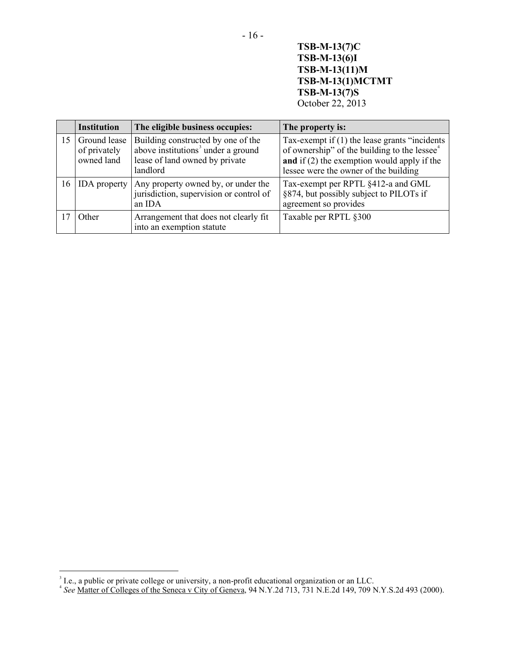|    | <b>Institution</b>                         | The eligible business occupies:                                                                                                    | The property is:                                                                                                                                                                                       |
|----|--------------------------------------------|------------------------------------------------------------------------------------------------------------------------------------|--------------------------------------------------------------------------------------------------------------------------------------------------------------------------------------------------------|
| 15 | Ground lease<br>of privately<br>owned land | Building constructed by one of the<br>above institutions <sup>3</sup> under a ground<br>lease of land owned by private<br>landlord | Tax-exempt if $(1)$ the lease grants "incidents"<br>of ownership" of the building to the lessee <sup>4</sup><br>and if $(2)$ the exemption would apply if the<br>lessee were the owner of the building |
| 16 | <b>IDA</b> property                        | Any property owned by, or under the<br>jurisdiction, supervision or control of<br>an IDA                                           | Tax-exempt per RPTL §412-a and GML<br>§874, but possibly subject to PILOTs if<br>agreement so provides                                                                                                 |
| 17 | Other                                      | Arrangement that does not clearly fit<br>into an exemption statute                                                                 | Taxable per RPTL §300                                                                                                                                                                                  |

 $\overline{a}$ 

<span id="page-15-1"></span><span id="page-15-0"></span><sup>&</sup>lt;sup>3</sup> I.e., a public or private college or university, a non-profit educational organization or an LLC.<br><sup>4</sup> See <u>Matter of Colleges of the Seneca v City of Geneva</u>, 94 N.Y.2d 713, 731 N.E.2d 149, 709 N.Y.S.2d 493 (2000).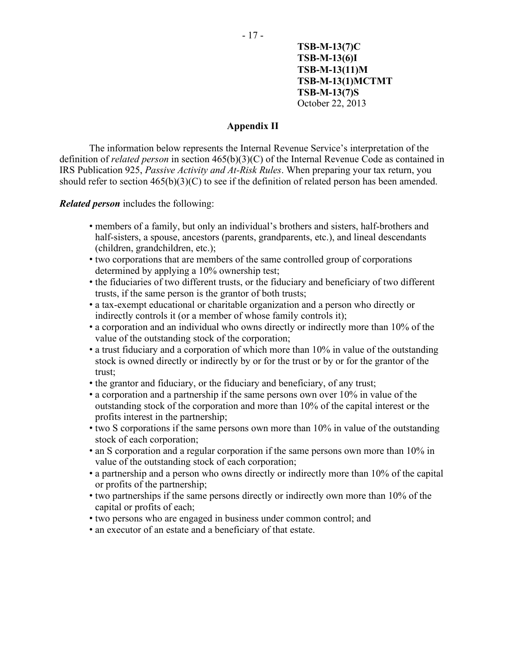#### **Appendix II**

<span id="page-16-0"></span>The information below represents the Internal Revenue Service's interpretation of the definition of *related person* in section 465(b)(3)(C) of the Internal Revenue Code as contained in IRS Publication 925, *Passive Activity and At-Risk Rules*. When preparing your tax return, you should refer to section 465(b)(3)(C) to see if the definition of related person has been amended.

*Related person* includes the following:

- members of a family, but only an individual's brothers and sisters, half-brothers and half-sisters, a spouse, ancestors (parents, grandparents, etc.), and lineal descendants (children, grandchildren, etc.);
- two corporations that are members of the same controlled group of corporations determined by applying a 10% ownership test;
- the fiduciaries of two different trusts, or the fiduciary and beneficiary of two different trusts, if the same person is the grantor of both trusts;
- a tax-exempt educational or charitable organization and a person who directly or indirectly controls it (or a member of whose family controls it);
- a corporation and an individual who owns directly or indirectly more than 10% of the value of the outstanding stock of the corporation;
- a trust fiduciary and a corporation of which more than 10% in value of the outstanding stock is owned directly or indirectly by or for the trust or by or for the grantor of the trust;
- the grantor and fiduciary, or the fiduciary and beneficiary, of any trust;
- a corporation and a partnership if the same persons own over 10% in value of the outstanding stock of the corporation and more than 10% of the capital interest or the profits interest in the partnership;
- two S corporations if the same persons own more than 10% in value of the outstanding stock of each corporation;
- an S corporation and a regular corporation if the same persons own more than 10% in value of the outstanding stock of each corporation;
- a partnership and a person who owns directly or indirectly more than 10% of the capital or profits of the partnership;
- two partnerships if the same persons directly or indirectly own more than 10% of the capital or profits of each;
- two persons who are engaged in business under common control; and
- an executor of an estate and a beneficiary of that estate.